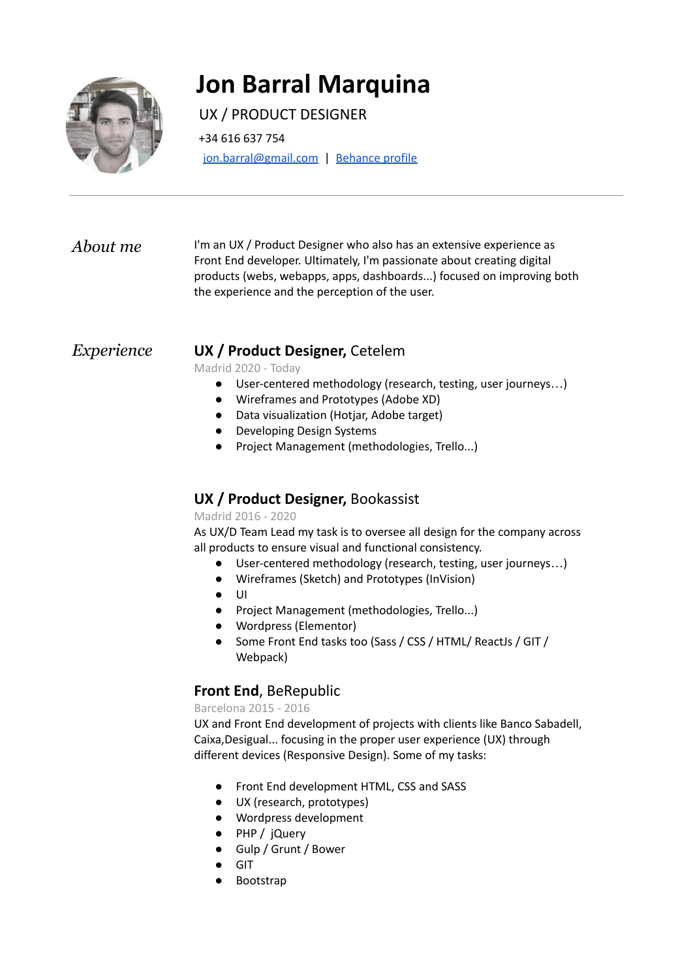

# **Jon Barral Marquina**

## UX / PRODUCT DESIGNER

+34 616 637 754

[jon.barral@gmail.com](mailto:jon.barral@gmail.com) | [Behance](https://www.behance.net/jonbarral4464) profile

*About me* I'm an UX / Product Designer who also has an extensive experience as Front End developer. Ultimately, I'm passionate about creating digital products (webs, webapps, apps, dashboards...) focused on improving both the experience and the perception of the user.

#### *Experience* **UX / Product Designer,** Cetelem

Madrid 2020 - Today

- User-centered methodology (research, testing, user journeys…)
- Wireframes and Prototypes (Adobe XD)
- Data visualization (Hotjar, Adobe target)
- Developing Design Systems
- Project Management (methodologies, Trello...)

### **UX / Product Designer,** Bookassist

#### Madrid 2016 - 2020

As UX/D Team Lead my task is to oversee all design for the company across all products to ensure visual and functional consistency.

- User-centered methodology (research, testing, user journeys…)
- Wireframes (Sketch) and Prototypes (InVision)
- UI
- Project Management (methodologies, Trello...)
- Wordpress (Elementor)
- Some Front End tasks too (Sass / CSS / HTML/ ReactJs / GIT / Webpack)

### **Front End**, BeRepublic

Barcelona 2015 - 2016

UX and Front End development of projects with clients like Banco Sabadell, Caixa,Desigual... focusing in the proper user experience (UX) through different devices (Responsive Design). Some of my tasks:

- Front End development HTML, CSS and SASS
- UX (research, prototypes)
- Wordpress development
- PHP / jQuery
- Gulp / Grunt / Bower
- **GIT**
- **Bootstrap**